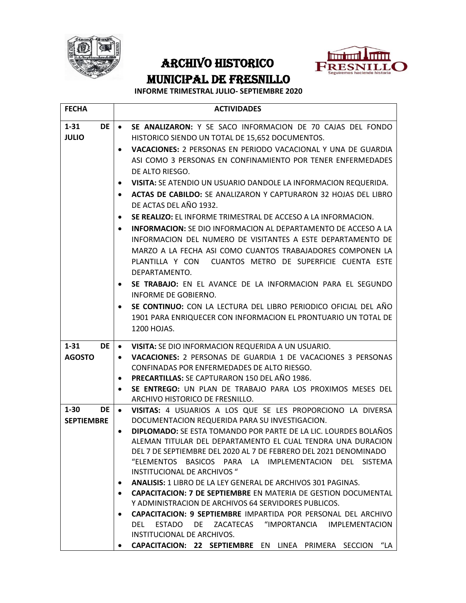



## ARCHIVO HISTORICO MUNICIPAL DE FRESNILLO

## **INFORME TRIMESTRAL JULIO- SEPTIEMBRE 2020**

| <b>FECHA</b>                           | <b>ACTIVIDADES</b>                                                                                                                                                                                                                                                                                                                                                                                                                                                                                                                                                                                                                                                                                                                                                                                                                                                                                                                                                                                                                                                        |
|----------------------------------------|---------------------------------------------------------------------------------------------------------------------------------------------------------------------------------------------------------------------------------------------------------------------------------------------------------------------------------------------------------------------------------------------------------------------------------------------------------------------------------------------------------------------------------------------------------------------------------------------------------------------------------------------------------------------------------------------------------------------------------------------------------------------------------------------------------------------------------------------------------------------------------------------------------------------------------------------------------------------------------------------------------------------------------------------------------------------------|
| $1 - 31$<br>DE  <br><b>JULIO</b>       | SE ANALIZARON: Y SE SACO INFORMACION DE 70 CAJAS DEL FONDO<br>$\bullet$<br>HISTORICO SIENDO UN TOTAL DE 15,652 DOCUMENTOS.<br>VACACIONES: 2 PERSONAS EN PERIODO VACACIONAL Y UNA DE GUARDIA<br>$\bullet$<br>ASI COMO 3 PERSONAS EN CONFINAMIENTO POR TENER ENFERMEDADES<br>DE ALTO RIESGO.<br>VISITA: SE ATENDIO UN USUARIO DANDOLE LA INFORMACION REQUERIDA.<br>ACTAS DE CABILDO: SE ANALIZARON Y CAPTURARON 32 HOJAS DEL LIBRO<br>$\bullet$<br>DE ACTAS DEL AÑO 1932.<br>SE REALIZO: EL INFORME TRIMESTRAL DE ACCESO A LA INFORMACION.<br>٠<br><b>INFORMACION:</b> SE DIO INFORMACION AL DEPARTAMENTO DE ACCESO A LA<br>INFORMACION DEL NUMERO DE VISITANTES A ESTE DEPARTAMENTO DE<br>MARZO A LA FECHA ASI COMO CUANTOS TRABAJADORES COMPONEN LA<br>PLANTILLA Y CON CUANTOS METRO DE SUPERFICIE CUENTA ESTE<br>DEPARTAMENTO.<br>SE TRABAJO: EN EL AVANCE DE LA INFORMACION PARA EL SEGUNDO<br>INFORME DE GOBIERNO.<br>SE CONTINUO: CON LA LECTURA DEL LIBRO PERIODICO OFICIAL DEL AÑO<br>1901 PARA ENRIQUECER CON INFORMACION EL PRONTUARIO UN TOTAL DE<br>1200 HOJAS. |
| $1 - 31$<br><b>DE</b><br><b>AGOSTO</b> | VISITA: SE DIO INFORMACION REQUERIDA A UN USUARIO.<br>٠<br><b>VACACIONES: 2 PERSONAS DE GUARDIA 1 DE VACACIONES 3 PERSONAS</b><br>$\bullet$<br>CONFINADAS POR ENFERMEDADES DE ALTO RIESGO.<br><b>PRECARTILLAS: SE CAPTURARON 150 DEL AÑO 1986.</b><br>SE ENTREGO: UN PLAN DE TRABAJO PARA LOS PROXIMOS MESES DEL<br>ARCHIVO HISTORICO DE FRESNILLO.                                                                                                                                                                                                                                                                                                                                                                                                                                                                                                                                                                                                                                                                                                                       |
| $1 - 30$<br>DE<br><b>SEPTIEMBRE</b>    | VISITAS: 4 USUARIOS A LOS QUE SE LES PROPORCIONO LA DIVERSA<br>$\bullet$<br>DOCUMENTACION REQUERIDA PARA SU INVESTIGACION.<br>DIPLOMADO: SE ESTA TOMANDO POR PARTE DE LA LIC. LOURDES BOLAÑOS<br>ALEMAN TITULAR DEL DEPARTAMENTO EL CUAL TENDRA UNA DURACION<br>DEL 7 DE SEPTIEMBRE DEL 2020 AL 7 DE FEBRERO DEL 2021 DENOMINADO<br>"ELEMENTOS BASICOS PARA LA IMPLEMENTACION DEL SISTEMA<br>INSTITUCIONAL DE ARCHIVOS "<br><b>ANALISIS: 1 LIBRO DE LA LEY GENERAL DE ARCHIVOS 301 PAGINAS.</b><br>$\bullet$<br><b>CAPACITACION: 7 DE SEPTIEMBRE EN MATERIA DE GESTION DOCUMENTAL</b><br>$\bullet$<br>Y ADMINISTRACION DE ARCHIVOS 64 SERVIDORES PUBLICOS.<br><b>CAPACITACION: 9 SEPTIEMBRE IMPARTIDA POR PERSONAL DEL ARCHIVO</b><br>$\bullet$<br>DEL ESTADO DE ZACATECAS "IMPORTANCIA IMPLEMENTACION<br>INSTITUCIONAL DE ARCHIVOS.<br>CAPACITACION: 22 SEPTIEMBRE EN LINEA PRIMERA SECCION "LA                                                                                                                                                                          |